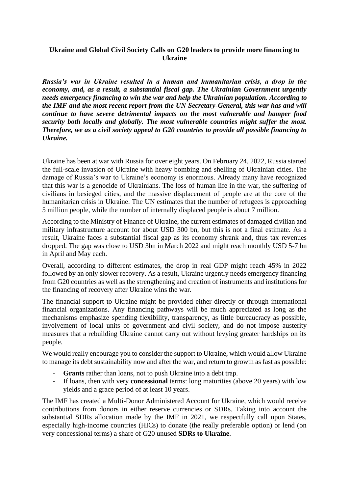### **Ukraine and Global Civil Society Calls on G20 leaders to provide more financing to Ukraine**

*Russia's war in Ukraine resulted in a human and humanitarian crisis, a drop in the economy, and, as a result, a substantial fiscal gap. The Ukrainian Government urgently needs emergency financing to win the war and help the Ukrainian population. According to the IMF and the most recent report from the UN Secretary-General, this war has and will continue to have severe detrimental impacts on the most vulnerable and hamper food security both locally and globally. The most vulnerable countries might suffer the most. Therefore, we as a civil society appeal to G20 countries to provide all possible financing to Ukraine.* 

Ukraine has been at war with Russia for over eight years. On February 24, 2022, Russia started the full-scale invasion of Ukraine with heavy bombing and shelling of Ukrainian cities. The damage of Russia's war to Ukraine's economy is enormous. Already many have recognized that this war is a genocide of Ukrainians. The loss of human life in the war, the suffering of civilians in besieged cities, and the massive displacement of people are at the core of the humanitarian crisis in Ukraine. The UN estimates that the number of refugees is approaching 5 million people, while the number of internally displaced people is about 7 million.

According to the Ministry of Finance of Ukraine, the current estimates of damaged civilian and military infrastructure account for about USD 300 bn, but this is not a final estimate. As a result, Ukraine faces a substantial fiscal gap as its economy shrank and, thus tax revenues dropped. The gap was close to USD 3bn in March 2022 and might reach monthly USD 5-7 bn in April and May each.

Overall, according to different estimates, the drop in real GDP might reach 45% in 2022 followed by an only slower recovery. As a result, Ukraine urgently needs emergency financing from G20 countries as well as the strengthening and creation of instruments and institutions for the financing of recovery after Ukraine wins the war.

The financial support to Ukraine might be provided either directly or through international financial organizations. Any financing pathways will be much appreciated as long as the mechanisms emphasize spending flexibility, transparency, as little bureaucracy as possible, involvement of local units of government and civil society, and do not impose austerity measures that a rebuilding Ukraine cannot carry out without levying greater hardships on its people.

We would really encourage you to consider the support to Ukraine, which would allow Ukraine to manage its debt sustainability now and after the war, and return to growth as fast as possible:

- Grants rather than loans, not to push Ukraine into a debt trap.
- If loans, then with very **concessional** terms: long maturities (above 20 years) with low yields and a grace period of at least 10 years.

The IMF has created a Multi-Donor Administered Account for Ukraine, which would receive contributions from donors in either reserve currencies or SDRs. Taking into account the substantial SDRs allocation made by the IMF in 2021, we respectfully call upon States, especially high-income countries (HICs) to donate (the really preferable option) or lend (on very concessional terms) a share of G20 unused **SDRs to Ukraine**.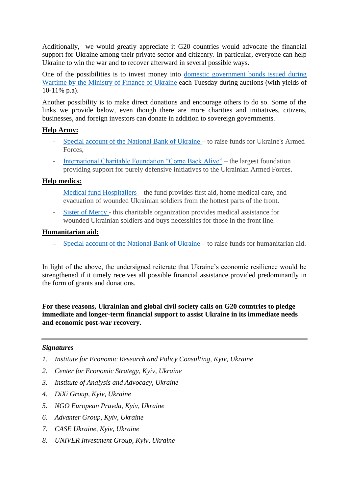Additionally, we would greatly appreciate it G20 countries would advocate the financial support for Ukraine among their private sector and citizenry. In particular, everyone can help Ukraine to win the war and to recover afterward in several possible ways.

One of the possibilities is to invest money into [domestic government bonds issued during](https://mof.gov.ua/storage/files/Ukraine%20-%20Domestic%20government%20bonds%20issued%20during%20Wartime%20(3).pdf)  [Wartime by the Ministry of Finance of Ukraine](https://mof.gov.ua/storage/files/Ukraine%20-%20Domestic%20government%20bonds%20issued%20during%20Wartime%20(3).pdf) each Tuesday during auctions (with yields of 10-11% p.a).

Another possibility is to make direct donations and encourage others to do so. Some of the links we provide below, even though there are more charities and initiatives, citizens, businesses, and foreign investors can donate in addition to sovereign governments.

# **Help Army:**

- [Special account of the National Bank of Ukraine](https://bank.gov.ua/en/news/all/natsionalniy-bank-vidkriv-spetsrahunok-dlya-zboru-koshtiv-na-potrebi-armiyi) to raise funds for Ukraine's Armed Forces,
- [International Charitable Foundation "Come Back Alive"](https://www.comebackalive.in.ua/donate) the largest foundation providing support for purely defensive initiatives to the Ukrainian Armed Forces.

# **Help medics:**

- [Medical fund Hospitallers](https://www.facebook.com/hospitallers/) the fund provides first aid, home medical care, and evacuation of wounded Ukrainian soldiers from the hottest parts of the front.
- [Sister of Mercy](http://www.sister-mercy.com.ua/dopomogti/pozertva) this charitable organization provides medical assistance for wounded Ukrainian soldiers and buys necessities for those in the front line.

## **Humanitarian aid:**

– [Special account of the National Bank of Ukraine](https://bank.gov.ua/en/news/all/natsionalniy-bank-vidkriv-rahunok-dlya-gumanitarnoyi-dopomogi-ukrayintsyam-postrajdalim-vid-rosiyskoyi-agresiyi) – to raise funds for humanitarian aid.

In light of the above, the undersigned reiterate that Ukraine's economic resilience would be strengthened if it timely receives all possible financial assistance provided predominantly in the form of grants and donations.

**For these reasons, Ukrainian and global civil society calls on G20 countries to pledge immediate and longer-term financial support to assist Ukraine in its immediate needs and economic post-war recovery.**

## *Signatures*

- *1. Institute for Economic Research and Policy Consulting, Kyiv, Ukraine*
- *2. Center for Economic Strategy, Kyiv, Ukraine*
- *3. Institute of Analysis and Advocacy, Ukraine*
- *4. DiXi Group, Kyiv, Ukraine*
- *5. NGO European Pravda, Kyiv, Ukraine*
- *6. Advanter Group, Kyiv, Ukraine*
- *7. CASE Ukraine, Kyiv, Ukraine*
- *8. UNIVER Investment Group, Kyiv, Ukraine*